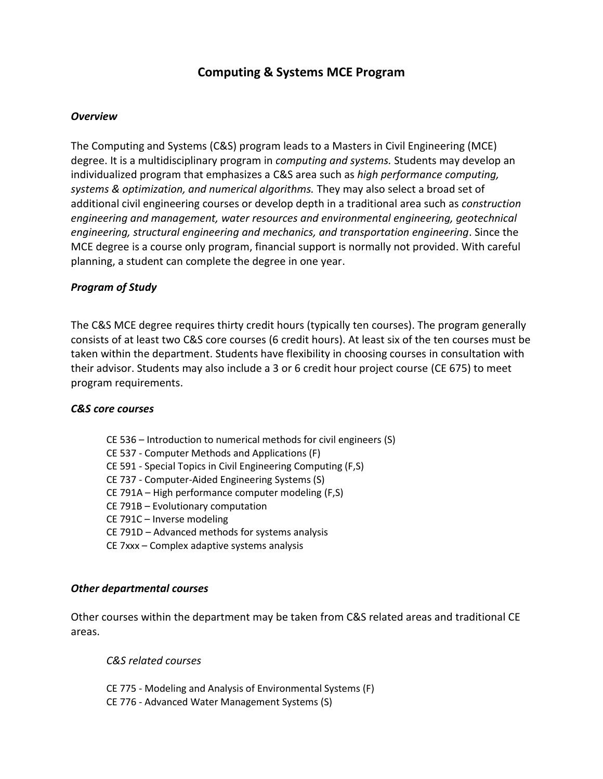# **Computing & Systems MCE Program**

## *Overview*

The Computing and Systems (C&S) program leads to a Masters in Civil Engineering (MCE) degree. It is a multidisciplinary program in *computing and systems.* Students may develop an individualized program that emphasizes a C&S area such as *high performance computing, systems & optimization, and numerical algorithms.* They may also select a broad set of additional civil engineering courses or develop depth in a traditional area such as *construction engineering and management, water resources and environmental engineering, geotechnical engineering, structural engineering and mechanics, and transportation engineering*. Since the MCE degree is a course only program, financial support is normally not provided. With careful planning, a student can complete the degree in one year.

### *Program of Study*

The C&S MCE degree requires thirty credit hours (typically ten courses). The program generally consists of at least two C&S core courses (6 credit hours). At least six of the ten courses must be taken within the department. Students have flexibility in choosing courses in consultation with their advisor. Students may also include a 3 or 6 credit hour project course (CE 675) to meet program requirements.

### *C&S core courses*

- CE 536 Introduction to numerical methods for civil engineers (S)
- CE 537 Computer Methods and Applications (F)
- CE 591 Special Topics in Civil Engineering Computing (F,S)
- CE 737 Computer-Aided Engineering Systems (S)
- CE 791A High performance computer modeling (F,S)
- CE 791B Evolutionary computation
- CE 791C Inverse modeling
- CE 791D Advanced methods for systems analysis
- CE 7xxx Complex adaptive systems analysis

### *Other departmental courses*

Other courses within the department may be taken from C&S related areas and traditional CE areas.

*C&S related courses*

- CE 775 Modeling and Analysis of Environmental Systems (F)
- CE 776 Advanced Water Management Systems (S)